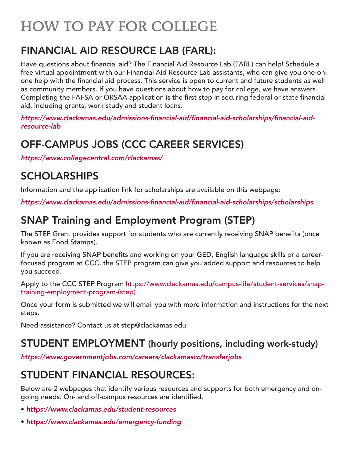# HOW TO PAY FOR COLLEGE

# FINANCIAL AID RESOURCE LAB (FARL):

Have questions about financial aid? The Financial Aid Resource Lab (FARL) can help! Schedule a free virtual appointment with our Financial Aid Resource Lab assistants, who can give you one-onone help with the financial aid process. This service is open to current and future students as well as community members. If you have questions about how to pay for college, we have answers. Completing the FAFSA or ORSAA application is the first step in securing federal or state financial aid, including grants, work study and student loans.

*https://www.clackamas.edu/admissions-financial-aid/financial-aid-scholarships/financial-aidresource-lab*

# OFF-CAMPUS JOBS (CCC CAREER SERVICES)

*https://www.collegecentral.com/clackamas/*

# SCHOLARSHIPS

Information and the application link for scholarships are available on this webpage:

*https://www.clackamas.edu/admissions-financial-aid/financial-aid-scholarships/scholarships*

# SNAP Training and Employment Program (STEP)

The STEP Grant provides support for students who are currently receiving SNAP benefits (once known as Food Stamps).

If you are receiving SNAP benefits and working on your GED, English language skills or a careerfocused program at CCC, the STEP program can give you added support and resources to help you succeed.

Apply to the CCC STEP Program [https://www.clackamas.edu/campus-life/student-services/snap](https://www.clackamas.edu/campus-life/student-services/snap-training-employment-program-(step))[training-employment-program-\(step\)](https://www.clackamas.edu/campus-life/student-services/snap-training-employment-program-(step))

Once your form is submitted we will email you with more information and instructions for the next steps.

Need assistance? Contact us at step@clackamas.edu.

#### STUDENT EMPLOYMENT (hourly positions, including work-study)

*https://www.governmentjobs.com/careers/clackamascc/transferjobs*

# STUDENT FINANCIAL RESOURCES:

Below are 2 webpages that identify various resources and supports for both emergency and ongoing needs. On- and off-campus resources are identified.

- *https://www.clackamas.edu/student-resources*
- *https://www.clackamas.edu/emergency-funding*